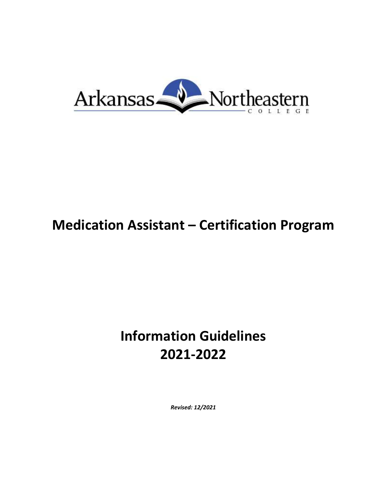

# **Medication Assistant – Certification Program**

# **Information Guidelines 2021-2022**

*Revised: 12/2021*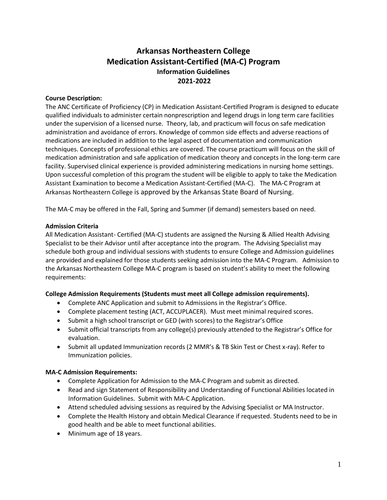# **Arkansas Northeastern College Medication Assistant-Certified (MA-C) Program Information Guidelines 2021-2022**

#### **Course Description:**

The ANC Certificate of Proficiency (CP) in Medication Assistant-Certified Program is designed to educate qualified individuals to administer certain nonprescription and legend drugs in long term care facilities under the supervision of a licensed nurse. Theory, lab, and practicum will focus on safe medication administration and avoidance of errors. Knowledge of common side effects and adverse reactions of medications are included in addition to the legal aspect of documentation and communication techniques. Concepts of professional ethics are covered. The course practicum will focus on the skill of medication administration and safe application of medication theory and concepts in the long-term care facility. Supervised clinical experience is provided administering medications in nursing home settings. Upon successful completion of this program the student will be eligible to apply to take the Medication Assistant Examination to become a Medication Assistant-Certified (MA-C). The MA-C Program at Arkansas Northeastern College is approved by the Arkansas State Board of Nursing.

The MA-C may be offered in the Fall, Spring and Summer (if demand) semesters based on need.

#### **Admission Criteria**

All Medication Assistant- Certified (MA-C) students are assigned the Nursing & Allied Health Advising Specialist to be their Advisor until after acceptance into the program. The Advising Specialist may schedule both group and individual sessions with students to ensure College and Admission guidelines are provided and explained for those students seeking admission into the MA-C Program. Admission to the Arkansas Northeastern College MA-C program is based on student's ability to meet the following requirements:

# **College Admission Requirements (Students must meet all College admission requirements).**

- Complete ANC Application and submit to Admissions in the Registrar's Office.
- Complete placement testing (ACT, ACCUPLACER). Must meet minimal required scores.
- Submit a high school transcript or GED (with scores) to the Registrar's Office
- Submit official transcripts from any college(s) previously attended to the Registrar's Office for evaluation.
- Submit all updated Immunization records (2 MMR's & TB Skin Test or Chest x-ray). Refer to Immunization policies.

#### **MA-C Admission Requirements:**

- Complete Application for Admission to the MA-C Program and submit as directed.
- Read and sign Statement of Responsibility and Understanding of Functional Abilities located in Information Guidelines. Submit with MA-C Application.
- Attend scheduled advising sessions as required by the Advising Specialist or MA Instructor.
- Complete the Health History and obtain Medical Clearance if requested. Students need to be in good health and be able to meet functional abilities.
- Minimum age of 18 years.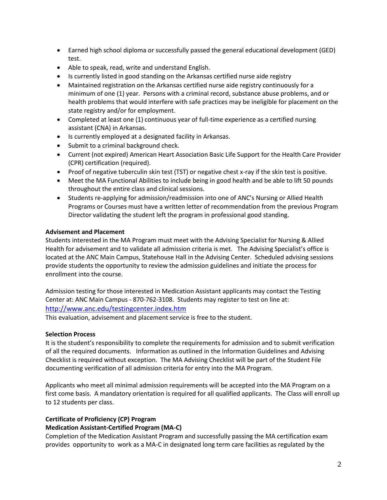- Earned high school diploma or successfully passed the general educational development (GED) test.
- Able to speak, read, write and understand English.
- Is currently listed in good standing on the Arkansas certified nurse aide registry
- Maintained registration on the Arkansas certified nurse aide registry continuously for a minimum of one (1) year. Persons with a criminal record, substance abuse problems, and or health problems that would interfere with safe practices may be ineligible for placement on the state registry and/or for employment.
- Completed at least one (1) continuous year of full-time experience as a certified nursing assistant (CNA) in Arkansas.
- Is currently employed at a designated facility in Arkansas.
- Submit to a criminal background check.
- Current (not expired) American Heart Association Basic Life Support for the Health Care Provider (CPR) certification (required).
- Proof of negative tuberculin skin test (TST) or negative chest x-ray if the skin test is positive.
- Meet the MA Functional Abilities to include being in good health and be able to lift 50 pounds throughout the entire class and clinical sessions.
- Students re-applying for admission/readmission into one of ANC's Nursing or Allied Health Programs or Courses must have a written letter of recommendation from the previous Program Director validating the student left the program in professional good standing.

#### **Advisement and Placement**

Students interested in the MA Program must meet with the Advising Specialist for Nursing & Allied Health for advisement and to validate all admission criteria is met. The Advising Specialist's office is located at the ANC Main Campus, Statehouse Hall in the Advising Center. Scheduled advising sessions provide students the opportunity to review the admission guidelines and initiate the process for enrollment into the course.

Admission testing for those interested in Medication Assistant applicants may contact the Testing Center at: ANC Main Campus - 870-762-3108. Students may register to test on line at: <http://www.anc.edu/testingcenter.index.htm>

This evaluation, advisement and placement service is free to the student.

#### **Selection Process**

It is the student's responsibility to complete the requirements for admission and to submit verification of all the required documents. Information as outlined in the Information Guidelines and Advising Checklist is required without exception. The MA Advising Checklist will be part of the Student File documenting verification of all admission criteria for entry into the MA Program.

Applicants who meet all minimal admission requirements will be accepted into the MA Program on a first come basis. A mandatory orientation is required for all qualified applicants. The Class will enroll up to 12 students per class.

# **Certificate of Proficiency (CP) Program**

# **Medication Assistant-Certified Program (MA-C)**

Completion of the Medication Assistant Program and successfully passing the MA certification exam provides opportunity to work as a MA-C in designated long term care facilities as regulated by the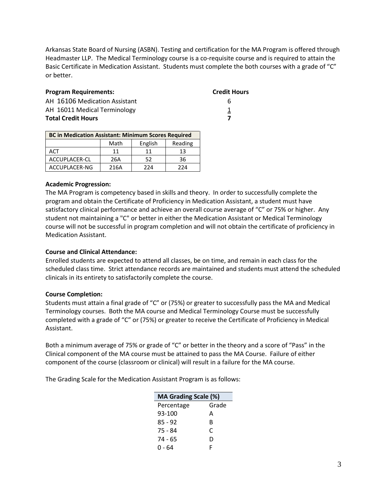Arkansas State Board of Nursing (ASBN). Testing and certification for the MA Program is offered through Headmaster LLP. The Medical Terminology course is a co-requisite course and is required to attain the Basic Certificate in Medication Assistant. Students must complete the both courses with a grade of "C" or better.

| <b>Program Requirements:</b>  | <b>Credit Hours</b> |
|-------------------------------|---------------------|
| AH 16106 Medication Assistant | h                   |
| AH 16011 Medical Terminology  |                     |
| <b>Total Credit Hours</b>     |                     |

| <b>BC in Medication Assistant: Minimum Scores Required</b> |      |         |         |  |
|------------------------------------------------------------|------|---------|---------|--|
|                                                            | Math | English | Reading |  |
| <b>ACT</b>                                                 | 11   | 11      | 13      |  |
| ACCUPLACER-CL                                              | 26A  | 52      | 36      |  |
| ACCUPLACER-NG                                              | 216A | 224     | 224     |  |

#### **Academic Progression:**

The MA Program is competency based in skills and theory. In order to successfully complete the program and obtain the Certificate of Proficiency in Medication Assistant, a student must have satisfactory clinical performance and achieve an overall course average of "C" or 75% or higher. Any student not maintaining a "C" or better in either the Medication Assistant or Medical Terminology course will not be successful in program completion and will not obtain the certificate of proficiency in Medication Assistant.

#### **Course and Clinical Attendance:**

Enrolled students are expected to attend all classes, be on time, and remain in each class for the scheduled class time. Strict attendance records are maintained and students must attend the scheduled clinicals in its entirety to satisfactorily complete the course.

#### **Course Completion:**

Students must attain a final grade of "C" or (75%) or greater to successfully pass the MA and Medical Terminology courses. Both the MA course and Medical Terminology Course must be successfully completed with a grade of "C" or (75%) or greater to receive the Certificate of Proficiency in Medical Assistant.

Both a minimum average of 75% or grade of "C" or better in the theory and a score of "Pass" in the Clinical component of the MA course must be attained to pass the MA Course. Failure of either component of the course (classroom or clinical) will result in a failure for the MA course.

The Grading Scale for the Medication Assistant Program is as follows:

| MA Grading Scale (%) |       |  |  |
|----------------------|-------|--|--|
| Percentage           | Grade |  |  |
| 93-100               | A     |  |  |
| $85 - 92$            | R     |  |  |
| 75 - 84              | C     |  |  |
| 74 - 65              | D     |  |  |
| $0 - 64$             | F     |  |  |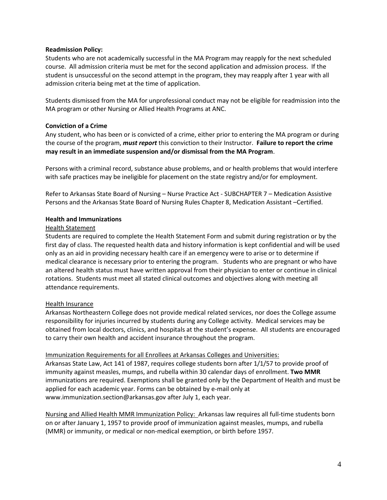#### **Readmission Policy:**

Students who are not academically successful in the MA Program may reapply for the next scheduled course. All admission criteria must be met for the second application and admission process. If the student is unsuccessful on the second attempt in the program, they may reapply after 1 year with all admission criteria being met at the time of application.

Students dismissed from the MA for unprofessional conduct may not be eligible for readmission into the MA program or other Nursing or Allied Health Programs at ANC.

#### **Conviction of a Crime**

Any student, who has been or is convicted of a crime, either prior to entering the MA program or during the course of the program, *must report* this conviction to their Instructor. **Failure to report the crime may result in an immediate suspension and/or dismissal from the MA Program**.

Persons with a criminal record, substance abuse problems, and or health problems that would interfere with safe practices may be ineligible for placement on the state registry and/or for employment.

Refer to Arkansas State Board of Nursing – Nurse Practice Act - SUBCHAPTER 7 – Medication Assistive Persons and the Arkansas State Board of Nursing Rules Chapter 8, Medication Assistant –Certified.

# **Health and Immunizations**

#### Health Statement

Students are required to complete the Health Statement Form and submit during registration or by the first day of class. The requested health data and history information is kept confidential and will be used only as an aid in providing necessary health care if an emergency were to arise or to determine if medical clearance is necessary prior to entering the program. Students who are pregnant or who have an altered health status must have written approval from their physician to enter or continue in clinical rotations. Students must meet all stated clinical outcomes and objectives along with meeting all attendance requirements.

#### Health Insurance

Arkansas Northeastern College does not provide medical related services, nor does the College assume responsibility for injuries incurred by students during any College activity. Medical services may be obtained from local doctors, clinics, and hospitals at the student's expense. All students are encouraged to carry their own health and accident insurance throughout the program.

#### Immunization Requirements for all Enrollees at Arkansas Colleges and Universities:

Arkansas State Law, Act 141 of 1987, requires college students born after 1/1/57 to provide proof of immunity against measles, mumps, and rubella within 30 calendar days of enrollment. **Two MMR** immunizations are required. Exemptions shall be granted only by the Department of Health and must be applied for each academic year. Forms can be obtained by e-mail only at www.immunization.section@arkansas.gov after July 1, each year.

Nursing and Allied Health MMR Immunization Policy:Arkansas law requires all full-time students born on or after January 1, 1957 to provide proof of immunization against measles, mumps, and rubella (MMR) or immunity, or medical or non-medical exemption, or birth before 1957.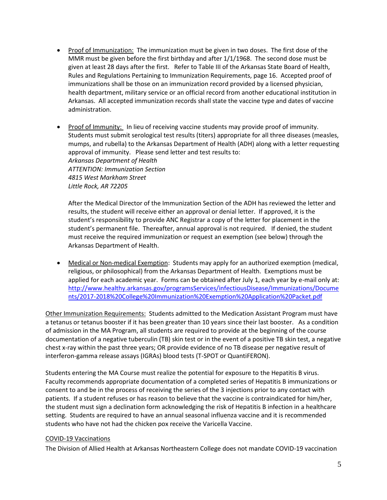- Proof of Immunization: The immunization must be given in two doses. The first dose of the MMR must be given before the first birthday and after 1/1/1968. The second dose must be given at least 28 days after the first. Refer to Table III of the Arkansas State Board of Health, Rules and Regulations Pertaining to Immunization Requirements, page 16. Accepted proof of immunizations shall be those on an immunization record provided by a licensed physician, health department, military service or an official record from another educational institution in Arkansas. All accepted immunization records shall state the vaccine type and dates of vaccine administration.
- Proof of Immunity: In lieu of receiving vaccine students may provide proof of immunity. Students must submit serological test results (titers) appropriate for all three diseases (measles, mumps, and rubella) to the Arkansas Department of Health (ADH) along with a letter requesting approval of immunity. Please send letter and test results to: *Arkansas Department of Health ATTENTION: Immunization Section 4815 West Markham Street Little Rock, AR 72205*

After the Medical Director of the Immunization Section of the ADH has reviewed the letter and results, the student will receive either an approval or denial letter. If approved, it is the student's responsibility to provide ANC Registrar a copy of the letter for placement in the student's permanent file. Thereafter, annual approval is not required. If denied, the student must receive the required immunization or request an exemption (see below) through the Arkansas Department of Health.

• Medical or Non-medical Exemption: Students may apply for an authorized exemption (medical, religious, or philosophical) from the Arkansas Department of Health. Exemptions must be applied for each academic year. Forms can be obtained after July 1, each year by e-mail only at: [http://www.healthy.arkansas.gov/programsServices/infectiousDisease/Immunizations/Docume](http://www.healthy.arkansas.gov/programsServices/infectiousDisease/Immunizations/Documents/2017-2018%20College%20Immunization%20Exemption%20Application%20Packet.pdf) [nts/2017-2018%20College%20Immunization%20Exemption%20Application%20Packet.pdf](http://www.healthy.arkansas.gov/programsServices/infectiousDisease/Immunizations/Documents/2017-2018%20College%20Immunization%20Exemption%20Application%20Packet.pdf)

Other Immunization Requirements: Students admitted to the Medication Assistant Program must have a tetanus or tetanus booster if it has been greater than 10 years since their last booster. As a condition of admission in the MA Program, all students are required to provide at the beginning of the course documentation of a negative tuberculin (TB) skin test or in the event of a positive TB skin test, a negative chest x-ray within the past three years; OR provide evidence of no TB disease per negative result of interferon-gamma release assays (IGRAs) blood tests (T-SPOT or QuantiFERON).

Students entering the MA Course must realize the potential for exposure to the Hepatitis B virus. Faculty recommends appropriate documentation of a completed series of Hepatitis B immunizations or consent to and be in the process of receiving the series of the 3 injections prior to any contact with patients. If a student refuses or has reason to believe that the vaccine is contraindicated for him/her, the student must sign a declination form acknowledging the risk of Hepatitis B infection in a healthcare setting. Students are required to have an annual seasonal influenza vaccine and it is recommended students who have not had the chicken pox receive the Varicella Vaccine.

#### COVID-19 Vaccinations

The Division of Allied Health at Arkansas Northeastern College does not mandate COVID-19 vaccination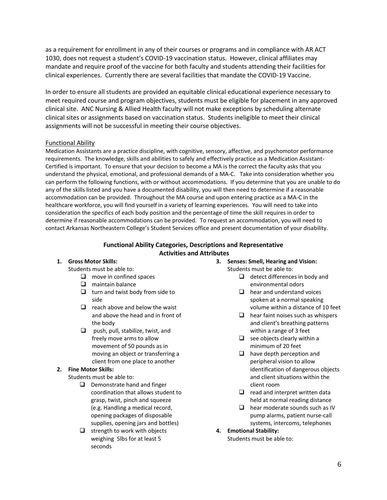as a requirement for enrollment in any of their courses or programs and in compliance with AR ACT 1030, does not request a student's COVID-19 vaccination status. However, clinical affiliates may mandate and require proof of the vaccine for both faculty and students attending their facilities for clinical experiences. Currently there are several facilities that mandate the COVID-19 Vaccine.

In order to ensure all students are provided an equitable clinical educational experience necessary to meet required course and program objectives, students must be eligible for placement in any approved clinical site. ANC Nursing & Allied Health faculty will not make exceptions by scheduling alternate clinical sites or assignments based on vaccination status. Students ineligible to meet their clinical assignments will not be successful in meeting their course objectives.

#### Functional Ability

Medication Assistants are a practice discipline, with cognitive, sensory, affective, and psychomotor performance requirements. The knowledge, skills and abilities to safely and effectively practice as a Medication Assistant-Certified is important. To ensure that your decision to become a MA is the correct the faculty asks that you understand the physical, emotional, and professional demands of a MA-C. Take into consideration whether you can perform the following functions, with or without accommodations. If you determine that you are unable to do any of the skills listed and you have a documented disability, you will then need to determine if a reasonable accommodation can be provided. Throughout the MA course and upon entering practice as a MA-C in the healthcare workforce, you will find yourself in a variety of learning experiences. You will need to take into consideration the specifics of each body position and the percentage of time the skill requires in order to determine if reasonable accommodations can be provided. To request an accommodation, you will need to contact Arkansas Northeastern College's Student Services office and present documentation of your disability.

#### **Functional Ability Categories, Descriptions and Representative Activities and Attributes**

#### **1. Gross Motor Skills:**

Students must be able to:

- $\Box$  move in confined spaces
- $\Box$  maintain balance
- $\Box$  turn and twist body from side to side
- $\Box$  reach above and below the waist and above the head and in front of the body
- $\Box$  push, pull, stabilize, twist, and freely move arms to allow movement of 50 pounds as in moving an object or transferring a client from one place to another

#### **2. Fine Motor Skills:**

Students must be able to:

- $\Box$  Demonstrate hand and finger coordination that allows student to grasp, twist, pinch and squeeze (e.g. Handling a medical record, opening packages of disposable supplies, opening jars and bottles)
- $\Box$  strength to work with objects weighing 5lbs for at least 5 seconds

#### **3. Senses: Smell, Hearing and Vision:**

Students must be able to:

- $\Box$  detect differences in body and environmental odors
- $\Box$  hear and understand voices spoken at a normal speaking volume within a distance of 10 feet
- $\Box$  hear faint noises such as whispers and client's breathing patterns within a range of 3 feet
- $\Box$  see objects clearly within a minimum of 20 feet
- $\Box$  have depth perception and peripheral vision to allow identification of dangerous objects and client situations within the client room
- $\Box$  read and interpret written data held at normal reading distance
- $\Box$  hear moderate sounds such as IV pump alarms, patient nurse-call systems, intercoms, telephones
- **4. Emotional Stability:**

Students must be able to: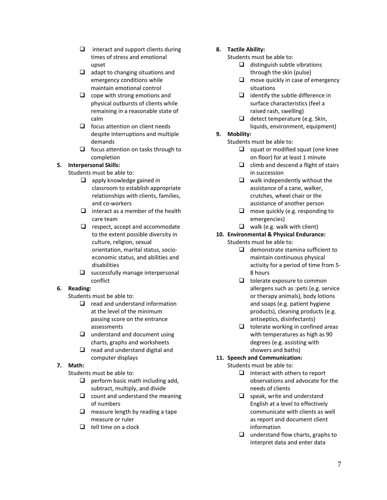- $\Box$  interact and support clients during times of stress and emotional upset
- $\Box$  adapt to changing situations and emergency conditions while maintain emotional control
- $\Box$  cope with strong emotions and physical outbursts of clients while remaining in a reasonable state of calm
- $\Box$  focus attention on client needs despite interruptions and multiple demands
- $\Box$  focus attention on tasks through to completion
- **5. Interpersonal Skills:**
	- Students must be able to:
		- $\Box$  apply knowledge gained in classroom to establish appropriate relationships with clients, families, and co‐workers
		- $\Box$  interact as a member of the health care team
		- $\Box$  respect, accept and accommodate to the extent possible diversity in culture, religion, sexual orientation, marital status, socio‐ economic status, and abilities and disabilities
		- $\Box$  successfully manage interpersonal conflict

#### **6. Reading:**

Students must be able to:

- $\Box$  read and understand information at the level of the minimum passing score on the entrance assessments
- $\Box$  understand and document using charts, graphs and worksheets
- $\Box$  read and understand digital and computer displays

#### **7. Math:**

Students must be able to:

- $\Box$  perform basic math including add, subtract, multiply, and divide
- $\Box$  count and understand the meaning of numbers
- $\Box$  measure length by reading a tape measure or ruler
- $\Box$  tell time on a clock

#### **8. Tactile Ability:**

Students must be able to:

- $\Box$  distinguish subtle vibrations through the skin (pulse)
- $\Box$  move quickly in case of emergency situations
- $\Box$  identify the subtle difference in surface characteristics (feel a raised rash, swelling)
- $\Box$  detect temperature (e.g. Skin, liquids, environment, equipment)

# **9. Mobility:**

- Students must be able to:
	- $\Box$  squat or modified squat (one knee on floor) for at least 1 minute
	- $\Box$  climb and descend a flight of stairs in succession
	- $\Box$  walk independently without the assistance of a cane, walker, crutches, wheel chair or the assistance of another person
	- $\Box$  move quickly (e.g. responding to emergencies)
	- $\Box$  walk (e.g. walk with client)
- **10. Environmental & Physical Endurance:** Students must be able to:
	- $\Box$  demonstrate stamina sufficient to maintain continuous physical activity for a period of time from 5‐ 8 hours
	- $\Box$  tolerate exposure to common allergens such as :pets (e.g. service or therapy animals), body lotions and soaps (e.g. patient hygiene products), cleaning products (e.g. antiseptics, disinfectants)
	- $\Box$  tolerate working in confined areas with temperatures as high as 90 degrees (e.g. assisting with showers and baths)

# **11. Speech and Communication:**

Students must be able to:

- $\Box$  interact with others to report observations and advocate for the needs of clients
- $\Box$  speak, write and understand English at a level to effectively communicate with clients as well as report and document client information
- $\Box$  understand flow charts, graphs to interpret data and enter data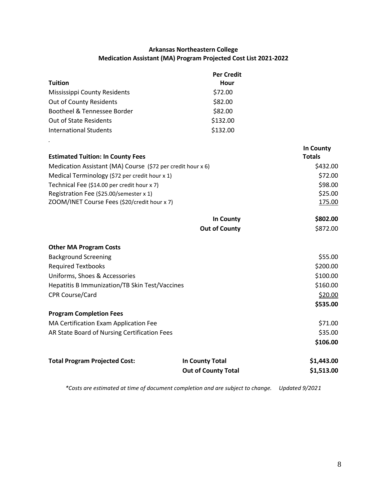# **Arkansas Northeastern College Medication Assistant (MA) Program Projected Cost List 2021-2022**

|                               | <b>Per Credit</b> |
|-------------------------------|-------------------|
| <b>Tuition</b>                | Hour              |
| Mississippi County Residents  | \$72.00           |
| Out of County Residents       | \$82.00           |
| Bootheel & Tennessee Border   | \$82.00           |
| <b>Out of State Residents</b> | \$132.00          |
| International Students        | \$132.00          |

*.*

|                                                             |                      | <b>In County</b>  |
|-------------------------------------------------------------|----------------------|-------------------|
| <b>Estimated Tuition: In County Fees</b>                    |                      | <b>Totals</b>     |
| Medication Assistant (MA) Course (\$72 per credit hour x 6) |                      | \$432.00          |
| Medical Terminology (\$72 per credit hour x 1)              |                      | \$72.00           |
| Technical Fee (\$14.00 per credit hour x 7)                 |                      | \$98.00           |
| Registration Fee (\$25.00/semester x 1)                     |                      | \$25.00           |
| ZOOM/INET Course Fees (\$20/credit hour x 7)                |                      | 175.00            |
|                                                             | In County            | \$802.00          |
|                                                             | <b>Out of County</b> | \$872.00          |
| <b>Other MA Program Costs</b>                               |                      |                   |
| <b>Background Screening</b>                                 |                      | \$55.00           |
| <b>Required Textbooks</b>                                   |                      | \$200.00          |
| Uniforms, Shoes & Accessories                               |                      | \$100.00          |
| Hepatitis B Immunization/TB Skin Test/Vaccines              |                      | \$160.00          |
| <b>CPR Course/Card</b>                                      |                      | \$20.00           |
|                                                             |                      | \$535.00          |
| <b>Program Completion Fees</b>                              |                      |                   |
| MA Certification Exam Application Fee                       |                      | \$71.00           |
| AR State Board of Nursing Certification Fees                |                      | \$35.00           |
|                                                             |                      | \$106.00          |
| <b>Total Program Projected Cost:</b>                        | In County Total      | \$1,443.00        |
|                                                             | Out of County Total  | <b>\$1 513 NO</b> |

*\*Costs are estimated at time of document completion and are subject to change. Updated 9/2021*

**Out of County Total \$1,513.00**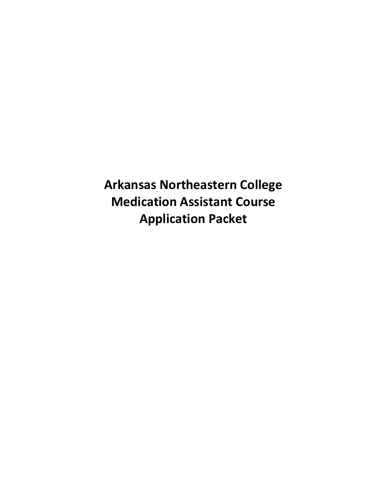**Arkansas Northeastern College Medication Assistant Course Application Packet**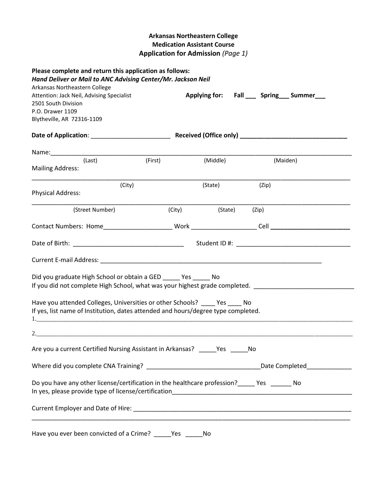# **Arkansas Northeastern College Medication Assistant Course Application for Admission** *(Page 1)*

| Please complete and return this application as follows:<br>Hand Deliver or Mail to ANC Advising Center/Mr. Jackson Neil |         |          |                                             |  |
|-------------------------------------------------------------------------------------------------------------------------|---------|----------|---------------------------------------------|--|
| Arkansas Northeastern College                                                                                           |         |          |                                             |  |
| Attention: Jack Neil, Advising Specialist                                                                               |         |          | Applying for: Fall ___ Spring __ Summer ___ |  |
| 2501 South Division                                                                                                     |         |          |                                             |  |
| P.O. Drawer 1109                                                                                                        |         |          |                                             |  |
| Blytheville, AR 72316-1109                                                                                              |         |          |                                             |  |
|                                                                                                                         |         |          |                                             |  |
|                                                                                                                         |         |          |                                             |  |
| (Last)                                                                                                                  | (First) | (Middle) | (Maiden)                                    |  |
| <b>Mailing Address:</b>                                                                                                 |         |          |                                             |  |
| (City)                                                                                                                  |         | (State)  | (Zip)                                       |  |
| <b>Physical Address:</b>                                                                                                |         |          |                                             |  |
| (Street Number)                                                                                                         | (City)  | (State)  | (Zip)                                       |  |
|                                                                                                                         |         |          |                                             |  |
|                                                                                                                         |         |          |                                             |  |
|                                                                                                                         |         |          |                                             |  |
|                                                                                                                         |         |          |                                             |  |
| Did you graduate High School or obtain a GED _______ Yes _______ No                                                     |         |          |                                             |  |
| If you did not complete High School, what was your highest grade completed.                                             |         |          |                                             |  |
| Have you attended Colleges, Universities or other Schools? _____ Yes _____ No                                           |         |          |                                             |  |
| If yes, list name of Institution, dates attended and hours/degree type completed.                                       |         |          |                                             |  |
|                                                                                                                         |         |          |                                             |  |
| 2.                                                                                                                      |         |          |                                             |  |
| Are you a current Certified Nursing Assistant in Arkansas? _____Yes ____                                                |         |          | No                                          |  |
|                                                                                                                         |         |          |                                             |  |
|                                                                                                                         |         |          |                                             |  |
| Do you have any other license/certification in the healthcare profession?______ Yes _______ No                          |         |          |                                             |  |
|                                                                                                                         |         |          |                                             |  |
|                                                                                                                         |         |          |                                             |  |

Have you ever been convicted of a Crime? \_\_\_\_\_Yes \_\_\_\_\_No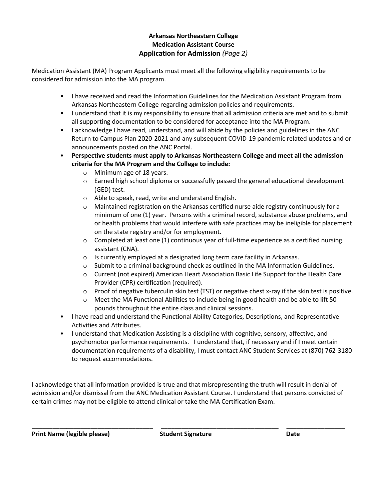# **Arkansas Northeastern College Medication Assistant Course Application for Admission** *(Page 2)*

Medication Assistant (MA) Program Applicants must meet all the following eligibility requirements to be considered for admission into the MA program.

- I have received and read the Information Guidelines for the Medication Assistant Program from Arkansas Northeastern College regarding admission policies and requirements.
- I understand that it is my responsibility to ensure that all admission criteria are met and to submit all supporting documentation to be considered for acceptance into the MA Program.
- I acknowledge I have read, understand, and will abide by the policies and guidelines in the ANC Return to Campus Plan 2020-2021 and any subsequent COVID-19 pandemic related updates and or announcements posted on the ANC Portal.
- **Perspective students must apply to Arkansas Northeastern College and meet all the admission criteria for the MA Program and the College to include:**
	- o Minimum age of 18 years.
	- $\circ$  Earned high school diploma or successfully passed the general educational development (GED) test.
	- o Able to speak, read, write and understand English.
	- $\circ$  Maintained registration on the Arkansas certified nurse aide registry continuously for a minimum of one (1) year. Persons with a criminal record, substance abuse problems, and or health problems that would interfere with safe practices may be ineligible for placement on the state registry and/or for employment.
	- $\circ$  Completed at least one (1) continuous year of full-time experience as a certified nursing assistant (CNA).
	- o Is currently employed at a designated long term care facility in Arkansas.
	- $\circ$  Submit to a criminal background check as outlined in the MA Information Guidelines.
	- o Current (not expired) American Heart Association Basic Life Support for the Health Care Provider (CPR) certification (required).
	- o Proof of negative tuberculin skin test (TST) or negative chest x-ray if the skin test is positive.
	- $\circ$  Meet the MA Functional Abilities to include being in good health and be able to lift 50 pounds throughout the entire class and clinical sessions.
- I have read and understand the Functional Ability Categories, Descriptions, and Representative Activities and Attributes.
- I understand that Medication Assisting is a discipline with cognitive, sensory, affective, and psychomotor performance requirements. I understand that, if necessary and if I meet certain documentation requirements of a disability, I must contact ANC Student Services at (870) 762-3180 to request accommodations.

I acknowledge that all information provided is true and that misrepresenting the truth will result in denial of admission and/or dismissal from the ANC Medication Assistant Course. I understand that persons convicted of certain crimes may not be eligible to attend clinical or take the MA Certification Exam.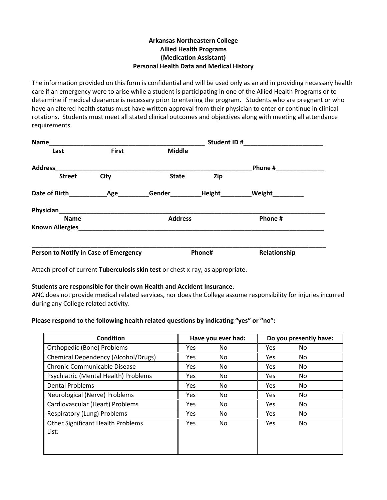#### **Arkansas Northeastern College Allied Health Programs (Medication Assistant) Personal Health Data and Medical History**

The information provided on this form is confidential and will be used only as an aid in providing necessary health care if an emergency were to arise while a student is participating in one of the Allied Health Programs or to determine if medical clearance is necessary prior to entering the program. Students who are pregnant or who have an altered health status must have written approval from their physician to enter or continue in clinical rotations. Students must meet all stated clinical outcomes and objectives along with meeting all attendance requirements.

| Name                                  |              |                | Student ID#   |               |
|---------------------------------------|--------------|----------------|---------------|---------------|
| Last                                  | <b>First</b> | <b>Middle</b>  |               |               |
| <b>Address</b>                        |              |                |               | Phone #       |
| <b>Street</b>                         | <b>City</b>  | <b>State</b>   | Zip           |               |
| Date of Birth                         | Age          | Gender         | <b>Height</b> | <b>Weight</b> |
|                                       |              |                |               |               |
| <b>Name</b>                           |              | <b>Address</b> |               | Phone #       |
| <b>Known Allergies</b>                |              |                |               |               |
| Person to Notify in Case of Emergency |              |                | Phone#        | Relationship  |

Attach proof of current **Tuberculosis skin test** or chest x-ray, as appropriate.

#### **Students are responsible for their own Health and Accident Insurance.**

ANC does not provide medical related services, nor does the College assume responsibility for injuries incurred during any College related activity.

#### **Please respond to the following health related questions by indicating "yes" or "no":**

| <b>Condition</b>                                  | Have you ever had: |     | Do you presently have: |     |
|---------------------------------------------------|--------------------|-----|------------------------|-----|
| Orthopedic (Bone) Problems                        | Yes                | No. | Yes                    | No. |
| <b>Chemical Dependency (Alcohol/Drugs)</b>        | Yes                | No. | Yes                    | No. |
| <b>Chronic Communicable Disease</b>               | Yes                | No. | Yes                    | No. |
| Psychiatric (Mental Health) Problems              | Yes                | No. | Yes                    | No. |
| <b>Dental Problems</b>                            | <b>Yes</b>         | No. | Yes                    | No. |
| Neurological (Nerve) Problems                     | Yes                | No. | Yes                    | No. |
| Cardiovascular (Heart) Problems                   | Yes                | No  | Yes                    | No. |
| Respiratory (Lung) Problems                       | Yes                | No  | Yes                    | No. |
| <b>Other Significant Health Problems</b><br>List: | Yes                | No. | Yes                    | No. |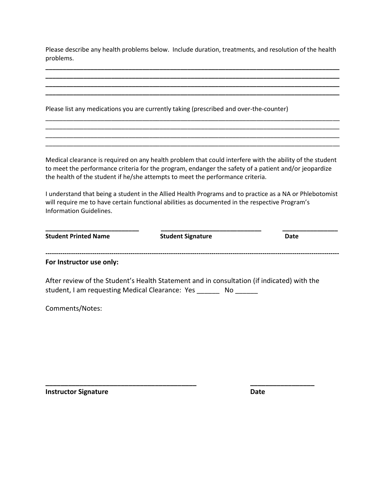Please describe any health problems below. Include duration, treatments, and resolution of the health problems.

**\_\_\_\_\_\_\_\_\_\_\_\_\_\_\_\_\_\_\_\_\_\_\_\_\_\_\_\_\_\_\_\_\_\_\_\_\_\_\_\_\_\_\_\_\_\_\_\_\_\_\_\_\_\_\_\_\_\_\_\_\_\_\_\_\_\_\_\_\_\_\_\_\_\_\_\_\_\_\_\_\_\_\_\_\_ \_\_\_\_\_\_\_\_\_\_\_\_\_\_\_\_\_\_\_\_\_\_\_\_\_\_\_\_\_\_\_\_\_\_\_\_\_\_\_\_\_\_\_\_\_\_\_\_\_\_\_\_\_\_\_\_\_\_\_\_\_\_\_\_\_\_\_\_\_\_\_\_\_\_\_\_\_\_\_\_\_\_\_\_\_**

|                                | Please list any medications you are currently taking (prescribed and over-the-counter)                                                                                                                                                                                                                                                                                                                                                                                                                          |      |
|--------------------------------|-----------------------------------------------------------------------------------------------------------------------------------------------------------------------------------------------------------------------------------------------------------------------------------------------------------------------------------------------------------------------------------------------------------------------------------------------------------------------------------------------------------------|------|
|                                |                                                                                                                                                                                                                                                                                                                                                                                                                                                                                                                 |      |
| <b>Information Guidelines.</b> | Medical clearance is required on any health problem that could interfere with the ability of the student<br>to meet the performance criteria for the program, endanger the safety of a patient and/or jeopardize<br>the health of the student if he/she attempts to meet the performance criteria.<br>I understand that being a student in the Allied Health Programs and to practice as a NA or Phlebotomist<br>will require me to have certain functional abilities as documented in the respective Program's |      |
| <b>Student Printed Name</b>    | <b>Student Signature</b>                                                                                                                                                                                                                                                                                                                                                                                                                                                                                        | Date |
| For Instructor use only:       |                                                                                                                                                                                                                                                                                                                                                                                                                                                                                                                 |      |
|                                | After review of the Student's Health Statement and in consultation (if indicated) with the<br>student, I am requesting Medical Clearance: Yes _______ No ______                                                                                                                                                                                                                                                                                                                                                 |      |
|                                |                                                                                                                                                                                                                                                                                                                                                                                                                                                                                                                 |      |

**\_\_\_\_\_\_\_\_\_\_\_\_\_\_\_\_\_\_\_\_\_\_\_\_\_\_\_\_\_\_\_\_\_\_\_\_\_\_\_\_ \_\_\_\_\_\_\_\_\_\_\_\_\_\_\_\_\_** 

Comments/Notes:

**Instructor Signature Date**